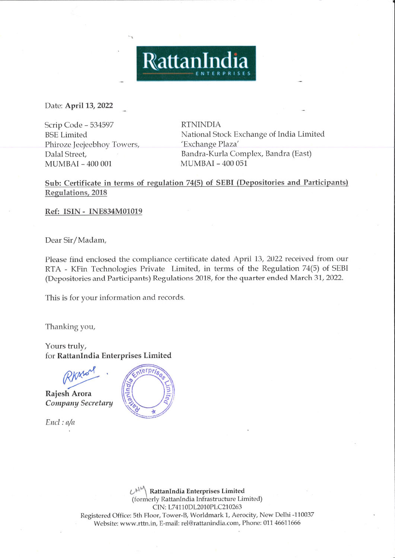Date: April 13, 2022

Scrip Code - 534597 **BSE** Limited Phiroze Jeejeebhoy Towers, Dalal Street, **MUMBAI-400001** 

**RTNINDIA** National Stock Exchange of India Limited 'Exchange Plaza' Bandra-Kurla Complex, Bandra (East) MUMBAI - 400 051

Sub: Certificate in terms of regulation 74(5) of SEBI (Depositories and Participants) Regulations, 2018

RattanIndia

Ref: ISIN - INE834M01019

Dear Sir/Madam,

Please find enclosed the compliance certificate dated April 13, 2022 received from our RTA - KFin Technologies Private Limited, in terms of the Regulation 74(5) of SEBI (Depositories and Participants) Regulations 2018, for the quarter ended March 31, 2022.

This is for your information and records.

Thanking you,

Yours truly, for RattanIndia Enterprises Limited

Rajesh Arora Company Secretary

 $End: a/a$ 



RattanIndia Enterprises Limited (formerly RattanIndia Infrastructure Limited) CIN: L74110DL2010PLC210263 Registered Office: 5th Floor, Tower-B, Worldmark 1, Aerocity, New Delhi -110037 Website: www.rttn.in, E-mail: rel@rattanindia.com, Phone: 011 46611666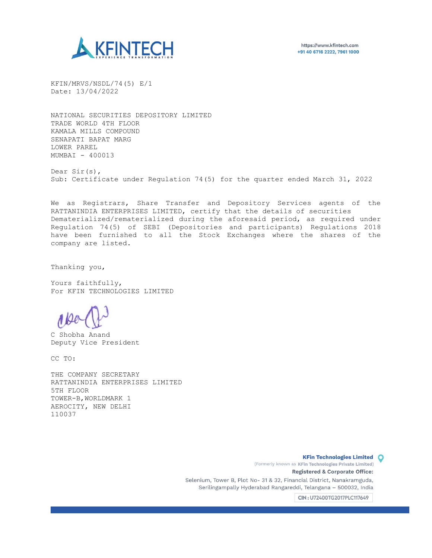

KFIN/MRVS/NSDL/74(5) E/1 Date: 13/04/2022

NATIONAL SECURITIES DEPOSITORY LIMITED TRADE WORLD 4TH FLOOR KAMALA MILLS COMPOUND SENAPATI BAPAT MARG LOWER PAREL MUMBAI - 400013

Dear Sir(s), Sub: Certificate under Regulation 74(5) for the quarter ended March 31, 2022

We as Registrars, Share Transfer and Depository Services agents of the RATTANINDIA ENTERPRISES LIMITED, certify that the details of securities Dematerialized/rematerialized during the aforesaid period, as required under Regulation 74(5) of SEBI (Depositories and participants) Regulations 2018 have been furnished to all the Stock Exchanges where the shares of the company are listed.

Thanking you,

Yours faithfully, For KFIN TECHNOLOGIES LIMITED

C Shobha Anand Deputy Vice President

CC TO:

THE COMPANY SECRETARY RATTANINDIA ENTERPRISES LIMITED 5TH FLOOR TOWER-B,WORLDMARK 1 AEROCITY, NEW DELHI 110037

> **KFin Technologies Limited O** (Formerly known as KFin Technologies Private Limited) Registered & Corporate Office: Selenium, Tower B, Plot No- 31 & 32, Financial District, Nanakramguda, Serilingampally Hyderabad Rangareddi, Telangana - 500032, India

> > CIN: U72400TG2017PLC117649